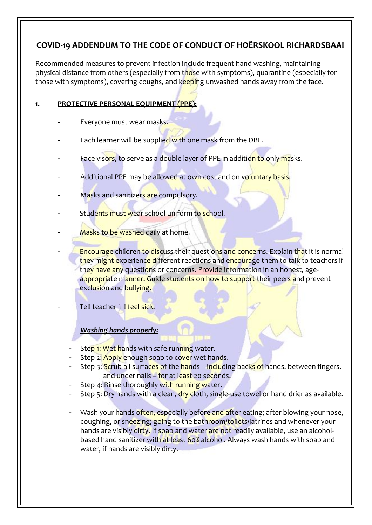# **COVID-19 ADDENDUM TO THE CODE OF CONDUCT OF HOËRSKOOL RICHARDSBAAI**

Recommended measures to prevent infection include frequent hand washing, maintaining physical distance from others (especially from those with symptoms), quarantine (especially for those with symptoms), covering coughs, and keeping unwashed hands away from the face.

## **1. PROTECTIVE PERSONAL EQUIPMENT (PPE):**

- Everyone must wear masks.
- Each learner will be supplied with one mask from the DBE.
- Face visors, to serve as a double layer of PPE in addition to only masks.
- Additional PPE may be allowed at own cost and on voluntary basis.
- Masks and sanitizers are compulsory.
- Students must wear school uniform to school.
- Masks to be washed daily at home.
	- Encourage children to discuss their questions and concerns. Explain that it is normal they might experience different reactions and encourage them to talk to teachers if they have any questions or concerns. Provide information in an honest, ageappropriate manner. Guide students on how to support their peers and prevent exclusion and bullying.

Tell teacher if I feel sick.

#### *Washing hands properly:*

- Step 1: Wet hands with safe running water.
- Step 2: Apply enough soap to cover wet hands.
- Step 3: Scrub all surfaces of the hands including backs of hands, between fingers. and under nails – for at least 20 seconds.
- Step 4: Rinse thoroughly with running water.
- Step 5: Dry hands with a clean, dry cloth, single-use towel or hand drier as available.
- Wash your hands often, especially before and after eating; after blowing your nose, coughing, or sneezing; going to the bathroom/toilets/latrines and whenever your hands are visibly dirty. If soap and water are not readily available, use an alcoholbased hand sanitizer with at least 60% alcohol. Always wash hands with soap and water, if hands are visibly dirty.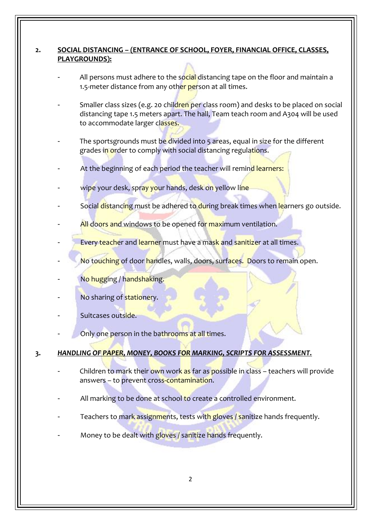### **2. SOCIAL DISTANCING – (ENTRANCE OF SCHOOL, FOYER, FINANCIAL OFFICE, CLASSES, PLAYGROUNDS):**

- All persons must adhere to the social distancing tape on the floor and maintain a 1.5-meter distance from any other person at all times.
- Smaller class sizes (e.g. 20 children per class room) and desks to be placed on social distancing tape 1.5 meters apart. The hall, Team teach room and A304 will be used to accommodate larger classes.
- The sportsgrounds must be divided into 5 areas, equal in size for the different grades in order to comply with social distancing regulations.
- At the beginning of each period the teacher will remind learners:
- wipe your desk, spray your hands, desk on yellow line
- Social distancing must be adhered to during break times when learners go outside.
- All doors and windows to be opened for maximum ventilation.
- Every teacher and learner must have a mask and sanitizer at all times.
- No touching of door handles, walls, doors, surfaces. Doors to remain open.
- No hugging / handshaking.
- No sharing of stationery.
- Suitcases outside.
- Only one person in the bathrooms at all times.

### **3.** *HANDLING OF PAPER, MONEY, BOOKS FOR MARKING, SCRIPTS FOR ASSESSMENT.*

- Children to mark their own work as far as possible in class teachers will provide answers – to prevent cross-contamination.
- All marking to be done at school to create a controlled environment.
- Teachers to mark assignments, tests with gloves / sanitize hands frequently.
- Money to be dealt with gloves / sanitize hands frequently.